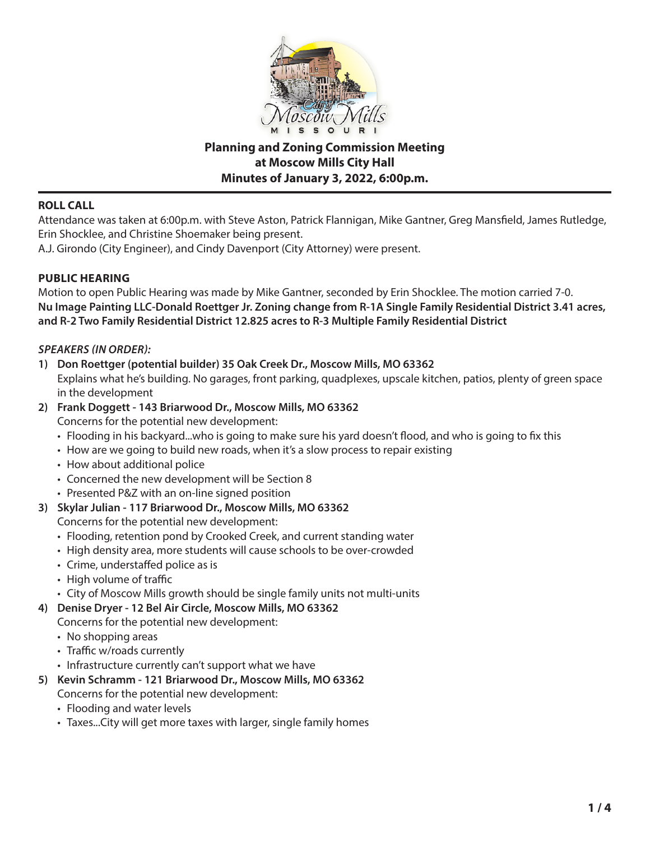

**Planning and Zoning Commission Meeting at Moscow Mills City Hall Minutes of January 3, 2022, 6:00p.m.**

## **ROLL CALL**

Attendance was taken at 6:00p.m. with Steve Aston, Patrick Flannigan, Mike Gantner, Greg Mansfield, James Rutledge, Erin Shocklee, and Christine Shoemaker being present.

A.J. Girondo (City Engineer), and Cindy Davenport (City Attorney) were present.

## **PUBLIC HEARING**

Motion to open Public Hearing was made by Mike Gantner, seconded by Erin Shocklee. The motion carried 7-0. **Nu Image Painting LLC-Donald Roettger Jr. Zoning change from R-1A Single Family Residential District 3.41 acres, and R-2 Two Family Residential District 12.825 acres to R-3 Multiple Family Residential District**

## *SPEAKERS (IN ORDER):*

**1) Don Roettger (potential builder) 35 Oak Creek Dr., Moscow Mills, MO 63362** Explains what he's building. No garages, front parking, quadplexes, upscale kitchen, patios, plenty of green space

in the development

- **2) Frank Doggett 143 Briarwood Dr., Moscow Mills, MO 63362** Concerns for the potential new development:
	- Flooding in his backyard...who is going to make sure his yard doesn't flood, and who is going to fix this
	- How are we going to build new roads, when it's a slow process to repair existing
	- How about additional police
	- Concerned the new development will be Section 8
	- Presented P&Z with an on-line signed position
- **3) Skylar Julian 117 Briarwood Dr., Moscow Mills, MO 63362**

Concerns for the potential new development:

- Flooding, retention pond by Crooked Creek, and current standing water
- High density area, more students will cause schools to be over-crowded
- Crime, understaffed police as is
- High volume of traffic
- City of Moscow Mills growth should be single family units not multi-units
- **4) Denise Dryer 12 Bel Air Circle, Moscow Mills, MO 63362**

Concerns for the potential new development:

- No shopping areas
- Traffic w/roads currently
- Infrastructure currently can't support what we have
- **5) Kevin Schramm 121 Briarwood Dr., Moscow Mills, MO 63362**

Concerns for the potential new development:

- Flooding and water levels
- Taxes...City will get more taxes with larger, single family homes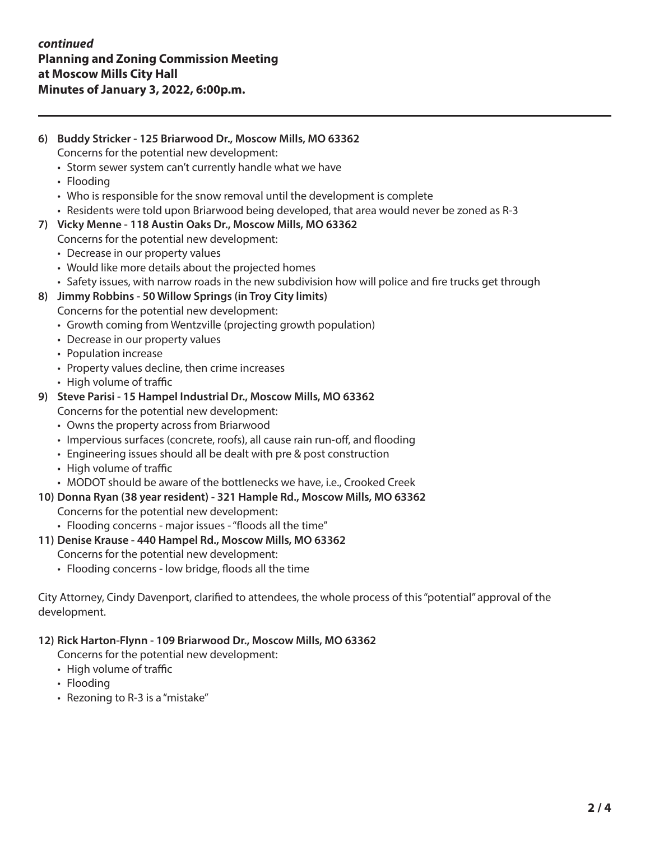# **6) Buddy Stricker - 125 Briarwood Dr., Moscow Mills, MO 63362** Concerns for the potential new development:

- Storm sewer system can't currently handle what we have
- Flooding
- Who is responsible for the snow removal until the development is complete
- Residents were told upon Briarwood being developed, that area would never be zoned as R-3

## **7) Vicky Menne - 118 Austin Oaks Dr., Moscow Mills, MO 63362**

- Concerns for the potential new development:
	- Decrease in our property values
	- Would like more details about the projected homes
- Safety issues, with narrow roads in the new subdivision how will police and fire trucks get through
- **8) Jimmy Robbins 50 Willow Springs (in Troy City limits)**
	- Concerns for the potential new development:
		- Growth coming from Wentzville (projecting growth population)
		- Decrease in our property values
		- Population increase
		- Property values decline, then crime increases
		- High volume of traffic

## **9) Steve Parisi - 15 Hampel Industrial Dr., Moscow Mills, MO 63362**

Concerns for the potential new development:

- Owns the property across from Briarwood
- Impervious surfaces (concrete, roofs), all cause rain run-off, and flooding
- Engineering issues should all be dealt with pre & post construction
- High volume of traffic
- MODOT should be aware of the bottlenecks we have, i.e., Crooked Creek
- **10) Donna Ryan (38 year resident) 321 Hample Rd., Moscow Mills, MO 63362** Concerns for the potential new development:
	- Flooding concerns major issues "floods all the time"
- **11) Denise Krause 440 Hampel Rd., Moscow Mills, MO 63362**
	- Concerns for the potential new development:
		- Flooding concerns low bridge, floods all the time

City Attorney, Cindy Davenport, clarified to attendees, the whole process of this "potential" approval of the development.

### **12) Rick Harton-Flynn - 109 Briarwood Dr., Moscow Mills, MO 63362**

Concerns for the potential new development:

- High volume of traffic
- Flooding
- Rezoning to R-3 is a "mistake"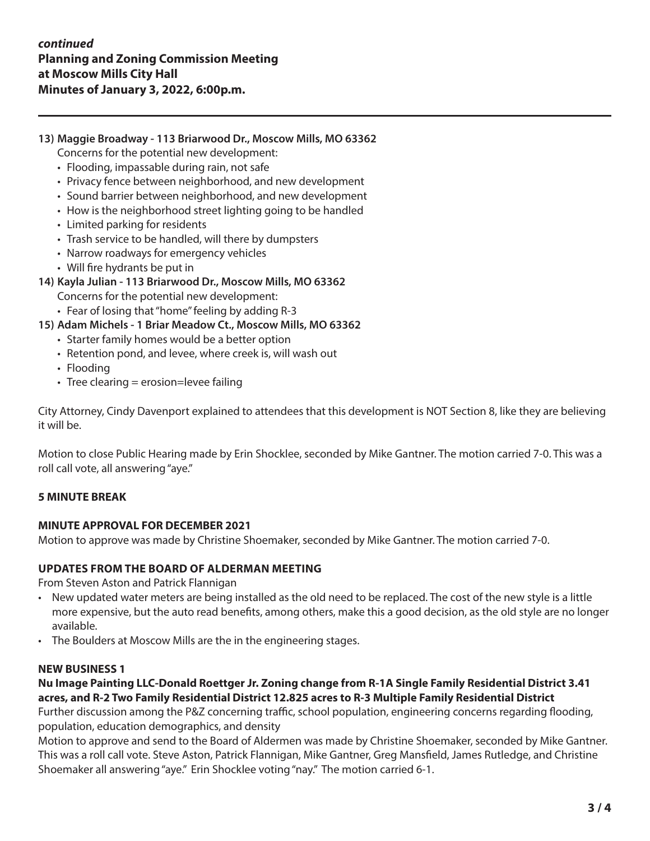## **13) Maggie Broadway - 113 Briarwood Dr., Moscow Mills, MO 63362**

- Concerns for the potential new development:
- Flooding, impassable during rain, not safe
- Privacy fence between neighborhood, and new development
- Sound barrier between neighborhood, and new development
- How is the neighborhood street lighting going to be handled
- Limited parking for residents
- Trash service to be handled, will there by dumpsters
- Narrow roadways for emergency vehicles
- Will fire hydrants be put in
- **14) Kayla Julian 113 Briarwood Dr., Moscow Mills, MO 63362**
	- Concerns for the potential new development:
	- Fear of losing that "home" feeling by adding R-3
- **15) Adam Michels 1 Briar Meadow Ct., Moscow Mills, MO 63362**
	- Starter family homes would be a better option
	- Retention pond, and levee, where creek is, will wash out
	- Flooding
	- Tree clearing  $=$  erosion=levee failing

City Attorney, Cindy Davenport explained to attendees that this development is NOT Section 8, like they are believing it will be.

Motion to close Public Hearing made by Erin Shocklee, seconded by Mike Gantner. The motion carried 7-0. This was a roll call vote, all answering "aye."

### **5 MINUTE BREAK**

#### **MINUTE APPROVAL FOR DECEMBER 2021**

Motion to approve was made by Christine Shoemaker, seconded by Mike Gantner. The motion carried 7-0.

#### **UPDATES FROM THE BOARD OF ALDERMAN MEETING**

From Steven Aston and Patrick Flannigan

- New updated water meters are being installed as the old need to be replaced. The cost of the new style is a little more expensive, but the auto read benefits, among others, make this a good decision, as the old style are no longer available.
- The Boulders at Moscow Mills are the in the engineering stages.

#### **NEW BUSINESS 1**

# **Nu Image Painting LLC-Donald Roettger Jr. Zoning change from R-1A Single Family Residential District 3.41 acres, and R-2 Two Family Residential District 12.825 acres to R-3 Multiple Family Residential District**

Further discussion among the P&Z concerning traffic, school population, engineering concerns regarding flooding, population, education demographics, and density

Motion to approve and send to the Board of Aldermen was made by Christine Shoemaker, seconded by Mike Gantner. This was a roll call vote. Steve Aston, Patrick Flannigan, Mike Gantner, Greg Mansfield, James Rutledge, and Christine Shoemaker all answering "aye." Erin Shocklee voting "nay." The motion carried 6-1.